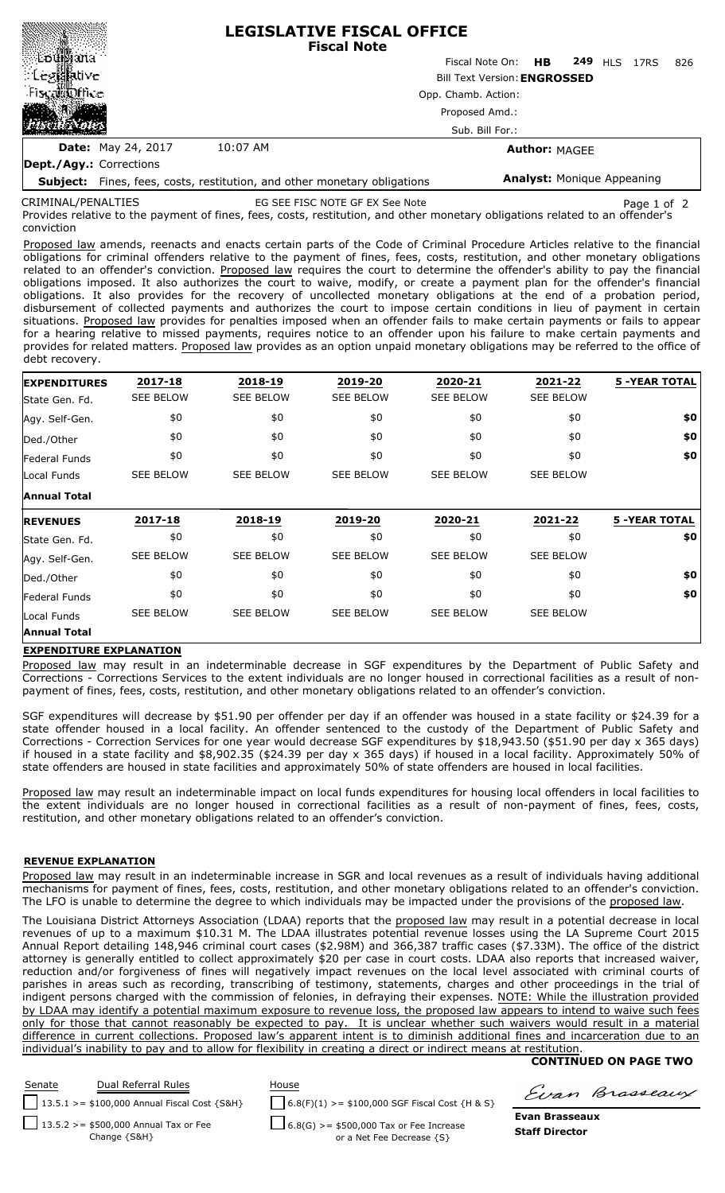|                           |                                   | <b>LEGISLATIVE FISCAL OFFICE</b><br><b>Fiscal Note</b>  |  |  |  |  |  |  |  |  |  |
|---------------------------|-----------------------------------|---------------------------------------------------------|--|--|--|--|--|--|--|--|--|
| ≋∰od∰ana                  |                                   | <b>249 HLS 17RS</b><br>Fiscal Note On: <b>HB</b><br>826 |  |  |  |  |  |  |  |  |  |
| ં Leg⊠ative               |                                   | <b>Bill Text Version: ENGROSSED</b>                     |  |  |  |  |  |  |  |  |  |
| Fiscal fine               | Opp. Chamb. Action:               |                                                         |  |  |  |  |  |  |  |  |  |
| MA.                       | Proposed Amd.:<br>Sub. Bill For.: |                                                         |  |  |  |  |  |  |  |  |  |
|                           |                                   |                                                         |  |  |  |  |  |  |  |  |  |
| <b>Date:</b> May 24, 2017 | 10:07 AM                          | <b>Author: MAGEE</b>                                    |  |  |  |  |  |  |  |  |  |
| Dept./Agy.: Corrections   |                                   |                                                         |  |  |  |  |  |  |  |  |  |

**Subject:** Fines, fees, costs, restitution, and other monetary obligations

CRIMINAL/PENALTIES

related to an offender's conviction EG SEE FISC NOTE GF EX See Note Page 1 of 2

**Analyst:** Monique Appeaning

Provides relative to the payment of fines, fees, costs, restitution, and other monetary obligations related to an offender's conviction

Proposed law amends, reenacts and enacts certain parts of the Code of Criminal Procedure Articles relative to the financial obligations for criminal offenders relative to the payment of fines, fees, costs, restitution, and other monetary obligations related to an offender's conviction. Proposed law requires the court to determine the offender's ability to pay the financial obligations imposed. It also authorizes the court to waive, modify, or create a payment plan for the offender's financial obligations. It also provides for the recovery of uncollected monetary obligations at the end of a probation period, disbursement of collected payments and authorizes the court to impose certain conditions in lieu of payment in certain situations. Proposed law provides for penalties imposed when an offender fails to make certain payments or fails to appear for a hearing relative to missed payments, requires notice to an offender upon his failure to make certain payments and provides for related matters. Proposed law provides as an option unpaid monetary obligations may be referred to the office of debt recovery.

| <b>EXPENDITURES</b> | 2017-18          | 2018-19          | 2019-20          | 2020-21          | 2021-22          | <b>5 -YEAR TOTAL</b> |  |
|---------------------|------------------|------------------|------------------|------------------|------------------|----------------------|--|
| State Gen. Fd.      | <b>SEE BELOW</b> | <b>SEE BELOW</b> | <b>SEE BELOW</b> | <b>SEE BELOW</b> | <b>SEE BELOW</b> |                      |  |
| Agy. Self-Gen.      | \$0              | \$0              | \$0              | \$0              | \$0              | \$0                  |  |
| Ded./Other          | \$0              | \$0              | \$0              | \$0              | \$0              | \$0                  |  |
| Federal Funds       | \$0              | \$0              | \$0              | \$0              | \$0              | \$0                  |  |
| Local Funds         | <b>SEE BELOW</b> | <b>SEE BELOW</b> | <b>SEE BELOW</b> | <b>SEE BELOW</b> | <b>SEE BELOW</b> |                      |  |
| <b>Annual Total</b> |                  |                  |                  |                  |                  |                      |  |
|                     |                  |                  |                  |                  |                  |                      |  |
| <b>REVENUES</b>     | 2017-18          | 2018-19          | 2019-20          | 2020-21          | 2021-22          | <b>5 -YEAR TOTAL</b> |  |
| State Gen. Fd.      | \$0              | \$0              | \$0              | \$0              | \$0              | \$0                  |  |
| Agy. Self-Gen.      | <b>SEE BELOW</b> | <b>SEE BELOW</b> | <b>SEE BELOW</b> | <b>SEE BELOW</b> | <b>SEE BELOW</b> |                      |  |
| Ded./Other          | \$0              | \$0              | \$0              | \$0              | \$0              | \$0                  |  |
| Federal Funds       | \$0              | \$0              | \$0              | \$0              | \$0              | \$0                  |  |
| Local Funds         | <b>SEE BELOW</b> | <b>SEE BELOW</b> | <b>SEE BELOW</b> | <b>SEE BELOW</b> | <b>SEE BELOW</b> |                      |  |

## **EXPENDITURE EXPLANATION**

Proposed law may result in an indeterminable decrease in SGF expenditures by the Department of Public Safety and Corrections - Corrections Services to the extent individuals are no longer housed in correctional facilities as a result of nonpayment of fines, fees, costs, restitution, and other monetary obligations related to an offender's conviction.

SGF expenditures will decrease by \$51.90 per offender per day if an offender was housed in a state facility or \$24.39 for a state offender housed in a local facility. An offender sentenced to the custody of the Department of Public Safety and Corrections - Correction Services for one year would decrease SGF expenditures by \$18,943.50 (\$51.90 per day x 365 days) if housed in a state facility and \$8,902.35 (\$24.39 per day x 365 days) if housed in a local facility. Approximately 50% of state offenders are housed in state facilities and approximately 50% of state offenders are housed in local facilities.

Proposed law may result an indeterminable impact on local funds expenditures for housing local offenders in local facilities to the extent individuals are no longer housed in correctional facilities as a result of non-payment of fines, fees, costs, restitution, and other monetary obligations related to an offender's conviction.

## **REVENUE EXPLANATION**

Proposed law may result in an indeterminable increase in SGR and local revenues as a result of individuals having additional mechanisms for payment of fines, fees, costs, restitution, and other monetary obligations related to an offender's conviction. The LFO is unable to determine the degree to which individuals may be impacted under the provisions of the proposed law.

The Louisiana District Attorneys Association (LDAA) reports that the proposed law may result in a potential decrease in local revenues of up to a maximum \$10.31 M. The LDAA illustrates potential revenue losses using the LA Supreme Court 2015 Annual Report detailing 148,946 criminal court cases (\$2.98M) and 366,387 traffic cases (\$7.33M). The office of the district attorney is generally entitled to collect approximately \$20 per case in court costs. LDAA also reports that increased waiver reduction and/or forgiveness of fines will negatively impact revenues on the local level associated with criminal courts of parishes in areas such as recording, transcribing of testimony, statements, charges and other proceedings in the trial of indigent persons charged with the commission of felonies, in defraying their expenses. NOTE: While the illustration provided by LDAA may identify a potential maximum exposure to revenue loss, the proposed law appears to intend to waive such fees only for those that cannot reasonably be expected to pay. It is unclear whether such waivers would result in a material difference in current collections. Proposed law's apparent intent is to diminish additional fines and incarceration due to an individual's inability to pay and to allow for flexibility in creating a direct or indirect means at restitution.

# **CONTINUED ON PAGE TWO**



Evan Brasseaux

**Evan Brasseaux Staff Director**